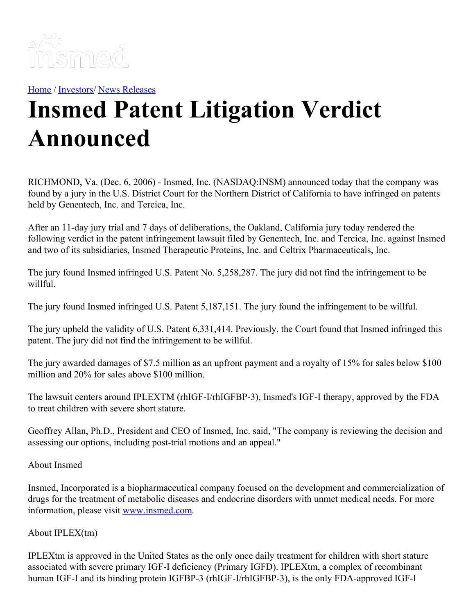

[Home](https://insmed.com/) / [Investors](https://investor.insmed.com/index)/ News [Releases](https://investor.insmed.com/releases)

## **Insmed Patent Litigation Verdict Announced**

RICHMOND, Va. (Dec. 6, 2006) - Insmed, Inc. (NASDAQ:INSM) announced today that the company was found by a jury in the U.S. District Court for the Northern District of California to have infringed on patents held by Genentech, Inc. and Tercica, Inc.

After an 11-day jury trial and 7 days of deliberations, the Oakland, California jury today rendered the following verdict in the patent infringement lawsuit filed by Genentech, Inc. and Tercica, Inc. against Insmed and two of its subsidiaries, Insmed Therapeutic Proteins, Inc. and Celtrix Pharmaceuticals, Inc.

The jury found Insmed infringed U.S. Patent No. 5,258,287. The jury did not find the infringement to be willful.

The jury found Insmed infringed U.S. Patent 5,187,151. The jury found the infringement to be willful.

The jury upheld the validity of U.S. Patent 6,331,414. Previously, the Court found that Insmed infringed this patent. The jury did not find the infringement to be willful.

The jury awarded damages of \$7.5 million as an upfront payment and a royalty of 15% for sales below \$100 million and 20% for sales above \$100 million.

The lawsuit centers around IPLEXTM (rhIGF-I/rhIGFBP-3), Insmed's IGF-I therapy, approved by the FDA to treat children with severe short stature.

Geoffrey Allan, Ph.D., President and CEO of Insmed, Inc. said, "The company is reviewing the decision and assessing our options, including post-trial motions and an appeal."

About Insmed

Insmed, Incorporated is a biopharmaceutical company focused on the development and commercialization of drugs for the treatment of metabolic diseases and endocrine disorders with unmet medical needs. For more information, please visit [www.insmed.com](http://www.insmed.com/).

About IPLEX(tm)

IPLEXtm is approved in the United States as the only once daily treatment for children with short stature associated with severe primary IGF-I deficiency (Primary IGFD). IPLEXtm, a complex of recombinant human IGF-I and its binding protein IGFBP-3 (rhIGF-I/rhIGFBP-3), is the only FDA-approved IGF-I